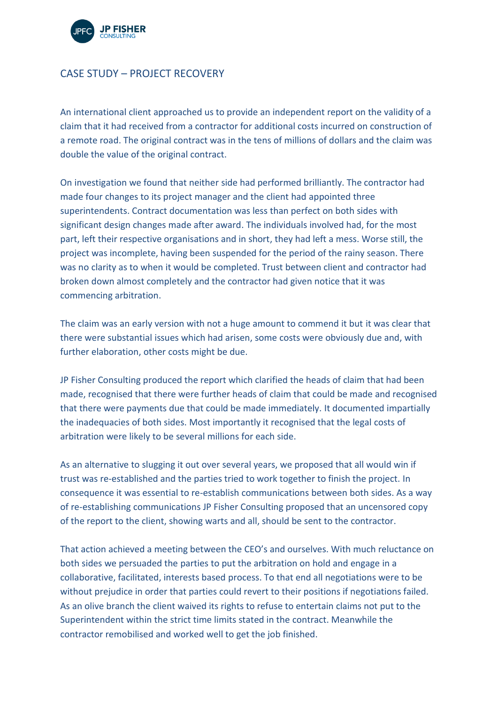

## CASE STUDY – PROJECT RECOVERY

An international client approached us to provide an independent report on the validity of a claim that it had received from a contractor for additional costs incurred on construction of a remote road. The original contract was in the tens of millions of dollars and the claim was double the value of the original contract.

On investigation we found that neither side had performed brilliantly. The contractor had made four changes to its project manager and the client had appointed three superintendents. Contract documentation was less than perfect on both sides with significant design changes made after award. The individuals involved had, for the most part, left their respective organisations and in short, they had left a mess. Worse still, the project was incomplete, having been suspended for the period of the rainy season. There was no clarity as to when it would be completed. Trust between client and contractor had broken down almost completely and the contractor had given notice that it was commencing arbitration.

The claim was an early version with not a huge amount to commend it but it was clear that there were substantial issues which had arisen, some costs were obviously due and, with further elaboration, other costs might be due.

JP Fisher Consulting produced the report which clarified the heads of claim that had been made, recognised that there were further heads of claim that could be made and recognised that there were payments due that could be made immediately. It documented impartially the inadequacies of both sides. Most importantly it recognised that the legal costs of arbitration were likely to be several millions for each side.

As an alternative to slugging it out over several years, we proposed that all would win if trust was re-established and the parties tried to work together to finish the project. In consequence it was essential to re-establish communications between both sides. As a way of re-establishing communications JP Fisher Consulting proposed that an uncensored copy of the report to the client, showing warts and all, should be sent to the contractor.

That action achieved a meeting between the CEO's and ourselves. With much reluctance on both sides we persuaded the parties to put the arbitration on hold and engage in a collaborative, facilitated, interests based process. To that end all negotiations were to be without prejudice in order that parties could revert to their positions if negotiations failed. As an olive branch the client waived its rights to refuse to entertain claims not put to the Superintendent within the strict time limits stated in the contract. Meanwhile the contractor remobilised and worked well to get the job finished.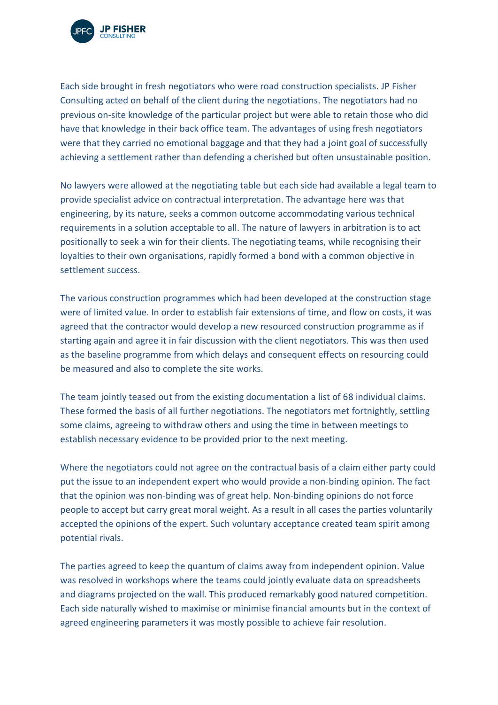

Each side brought in fresh negotiators who were road construction specialists. JP Fisher Consulting acted on behalf of the client during the negotiations. The negotiators had no previous on-site knowledge of the particular project but were able to retain those who did have that knowledge in their back office team. The advantages of using fresh negotiators were that they carried no emotional baggage and that they had a joint goal of successfully achieving a settlement rather than defending a cherished but often unsustainable position.

No lawyers were allowed at the negotiating table but each side had available a legal team to provide specialist advice on contractual interpretation. The advantage here was that engineering, by its nature, seeks a common outcome accommodating various technical requirements in a solution acceptable to all. The nature of lawyers in arbitration is to act positionally to seek a win for their clients. The negotiating teams, while recognising their loyalties to their own organisations, rapidly formed a bond with a common objective in settlement success.

The various construction programmes which had been developed at the construction stage were of limited value. In order to establish fair extensions of time, and flow on costs, it was agreed that the contractor would develop a new resourced construction programme as if starting again and agree it in fair discussion with the client negotiators. This was then used as the baseline programme from which delays and consequent effects on resourcing could be measured and also to complete the site works.

The team jointly teased out from the existing documentation a list of 68 individual claims. These formed the basis of all further negotiations. The negotiators met fortnightly, settling some claims, agreeing to withdraw others and using the time in between meetings to establish necessary evidence to be provided prior to the next meeting.

Where the negotiators could not agree on the contractual basis of a claim either party could put the issue to an independent expert who would provide a non-binding opinion. The fact that the opinion was non-binding was of great help. Non-binding opinions do not force people to accept but carry great moral weight. As a result in all cases the parties voluntarily accepted the opinions of the expert. Such voluntary acceptance created team spirit among potential rivals.

The parties agreed to keep the quantum of claims away from independent opinion. Value was resolved in workshops where the teams could jointly evaluate data on spreadsheets and diagrams projected on the wall. This produced remarkably good natured competition. Each side naturally wished to maximise or minimise financial amounts but in the context of agreed engineering parameters it was mostly possible to achieve fair resolution.